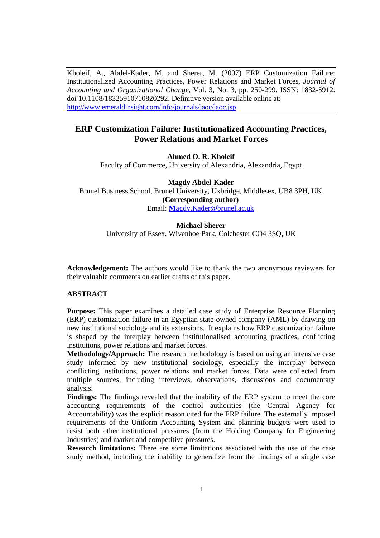Kholeif, A., Abdel-Kader, M. and Sherer, M. (2007) ERP Customization Failure: Institutionalized Accounting Practices, Power Relations and Market Forces, *Journal of Accounting and Organizational Change*, Vol. 3, No. 3, pp. 250-299. ISSN: 1832-5912. doi 10.1108/18325910710820292. Definitive version available online at: http://www.emeraldinsight.com/info/journals/jaoc/jaoc.jsp

# **ERP Customization Failure: Institutionalized Accounting Practices, Power Relations and Market Forces**

### **Ahmed O. R. Kholeif**

Faculty of Commerce, University of Alexandria, Alexandria, Egypt

# **Magdy Abdel-Kader**  Brunel Business School, Brunel University, Uxbridge, Middlesex, UB8 3PH, UK **(Corresponding author)** Email: **M**agdy.Kader@brunel.ac.uk

### **Michael Sherer**

University of Essex, Wivenhoe Park, Colchester CO4 3SQ, UK

**Acknowledgement:** The authors would like to thank the two anonymous reviewers for their valuable comments on earlier drafts of this paper.

# **ABSTRACT**

**Purpose:** This paper examines a detailed case study of Enterprise Resource Planning (ERP) customization failure in an Egyptian state-owned company (AML) by drawing on new institutional sociology and its extensions. It explains how ERP customization failure is shaped by the interplay between institutionalised accounting practices, conflicting institutions, power relations and market forces.

**Methodology/Approach:** The research methodology is based on using an intensive case study informed by new institutional sociology, especially the interplay between conflicting institutions, power relations and market forces. Data were collected from multiple sources, including interviews, observations, discussions and documentary analysis.

**Findings:** The findings revealed that the inability of the ERP system to meet the core accounting requirements of the control authorities (the Central Agency for Accountability) was the explicit reason cited for the ERP failure. The externally imposed requirements of the Uniform Accounting System and planning budgets were used to resist both other institutional pressures (from the Holding Company for Engineering Industries) and market and competitive pressures.

**Research limitations:** There are some limitations associated with the use of the case study method, including the inability to generalize from the findings of a single case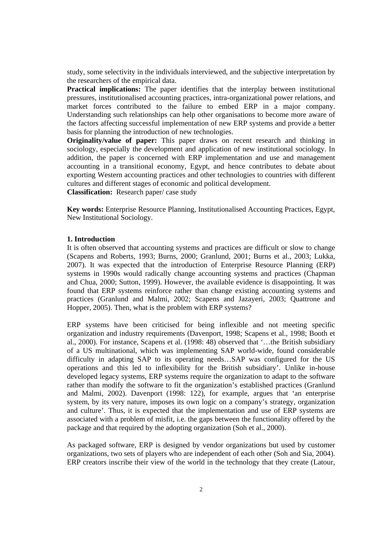study, some selectivity in the individuals interviewed, and the subjective interpretation by the researchers of the empirical data.

**Practical implications:** The paper identifies that the interplay between institutional pressures, institutionalised accounting practices, intra-organizational power relations, and market forces contributed to the failure to embed ERP in a major company. Understanding such relationships can help other organisations to become more aware of the factors affecting successful implementation of new ERP systems and provide a better basis for planning the introduction of new technologies.

**Originality/value of paper:** This paper draws on recent research and thinking in sociology, especially the development and application of new institutional sociology. In addition, the paper is concerned with ERP implementation and use and management accounting in a transitional economy, Egypt, and hence contributes to debate about exporting Western accounting practices and other technologies to countries with different cultures and different stages of economic and political development.

**Classification:** Research paper/ case study

**Key words:** Enterprise Resource Planning, Institutionalised Accounting Practices, Egypt, New Institutional Sociology.

#### **1. Introduction**

It is often observed that accounting systems and practices are difficult or slow to change (Scapens and Roberts, 1993; Burns, 2000; Granlund, 2001; Burns et al., 2003; Lukka, 2007). It was expected that the introduction of Enterprise Resource Planning (ERP) systems in 1990s would radically change accounting systems and practices (Chapman and Chua, 2000; Sutton, 1999). However, the available evidence is disappointing. It was found that ERP systems reinforce rather than change existing accounting systems and practices (Granlund and Malmi, 2002; Scapens and Jazayeri, 2003; Quattrone and Hopper, 2005). Then, what is the problem with ERP systems?

ERP systems have been criticised for being inflexible and not meeting specific organization and industry requirements (Davenport, 1998; Scapens et al., 1998; Booth et al., 2000). For instance, Scapens et al. (1998: 48) observed that '…the British subsidiary of a US multinational, which was implementing SAP world-wide, found considerable difficulty in adapting SAP to its operating needs…SAP was configured for the US operations and this led to inflexibility for the British subsidiary'. Unlike in-house developed legacy systems, ERP systems require the organization to adapt to the software rather than modify the software to fit the organization's established practices (Granlund and Malmi, 2002). Davenport (1998: 122), for example, argues that 'an enterprise system, by its very nature, imposes its own logic on a company's strategy, organization and culture'. Thus, it is expected that the implementation and use of ERP systems are associated with a problem of misfit, i.e. the gaps between the functionality offered by the package and that required by the adopting organization (Soh et al., 2000).

As packaged software, ERP is designed by vendor organizations but used by customer organizations, two sets of players who are independent of each other (Soh and Sia, 2004). ERP creators inscribe their view of the world in the technology that they create (Latour,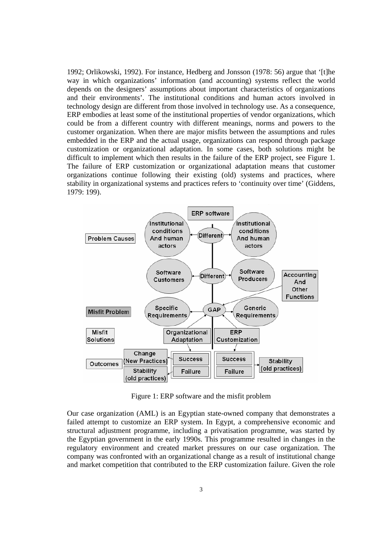1992; Orlikowski, 1992). For instance, Hedberg and Jonsson (1978: 56) argue that '[t]he way in which organizations' information (and accounting) systems reflect the world depends on the designers' assumptions about important characteristics of organizations and their environments'. The institutional conditions and human actors involved in technology design are different from those involved in technology use. As a consequence, ERP embodies at least some of the institutional properties of vendor organizations, which could be from a different country with different meanings, norms and powers to the customer organization. When there are major misfits between the assumptions and rules embedded in the ERP and the actual usage, organizations can respond through package customization or organizational adaptation. In some cases, both solutions might be difficult to implement which then results in the failure of the ERP project, see Figure 1. The failure of ERP customization or organizational adaptation means that customer organizations continue following their existing (old) systems and practices, where stability in organizational systems and practices refers to 'continuity over time' (Giddens, 1979: 199).



Figure 1: ERP software and the misfit problem

Our case organization (AML) is an Egyptian state-owned company that demonstrates a failed attempt to customize an ERP system. In Egypt, a comprehensive economic and structural adjustment programme, including a privatisation programme, was started by the Egyptian government in the early 1990s. This programme resulted in changes in the regulatory environment and created market pressures on our case organization. The company was confronted with an organizational change as a result of institutional change and market competition that contributed to the ERP customization failure. Given the role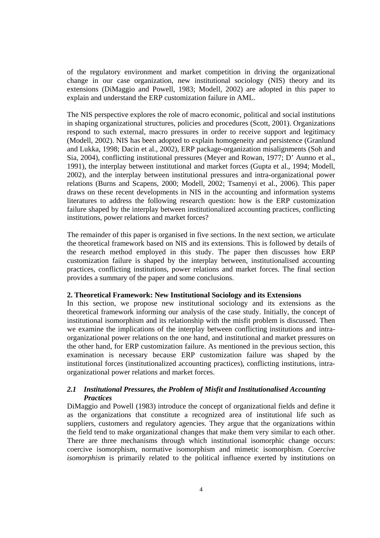of the regulatory environment and market competition in driving the organizational change in our case organization, new institutional sociology (NIS) theory and its extensions (DiMaggio and Powell, 1983; Modell, 2002) are adopted in this paper to explain and understand the ERP customization failure in AML.

The NIS perspective explores the role of macro economic, political and social institutions in shaping organizational structures, policies and procedures (Scott, 2001). Organizations respond to such external, macro pressures in order to receive support and legitimacy (Modell, 2002). NIS has been adopted to explain homogeneity and persistence (Granlund and Lukka, 1998; Dacin et al., 2002), ERP package-organization misalignments (Soh and Sia, 2004), conflicting institutional pressures (Meyer and Rowan, 1977; D' Aunno et al., 1991), the interplay between institutional and market forces (Gupta et al., 1994; Modell, 2002), and the interplay between institutional pressures and intra-organizational power relations (Burns and Scapens, 2000; Modell, 2002; Tsamenyi et al., 2006). This paper draws on these recent developments in NIS in the accounting and information systems literatures to address the following research question: how is the ERP customization failure shaped by the interplay between institutionalized accounting practices, conflicting institutions, power relations and market forces?

The remainder of this paper is organised in five sections. In the next section, we articulate the theoretical framework based on NIS and its extensions. This is followed by details of the research method employed in this study. The paper then discusses how ERP customization failure is shaped by the interplay between, institutionalised accounting practices, conflicting institutions, power relations and market forces. The final section provides a summary of the paper and some conclusions.

#### **2. Theoretical Framework: New Institutional Sociology and its Extensions**

In this section, we propose new institutional sociology and its extensions as the theoretical framework informing our analysis of the case study. Initially, the concept of institutional isomorphism and its relationship with the misfit problem is discussed. Then we examine the implications of the interplay between conflicting institutions and intraorganizational power relations on the one hand, and institutional and market pressures on the other hand, for ERP customization failure. As mentioned in the previous section, this examination is necessary because ERP customization failure was shaped by the institutional forces (institutionalized accounting practices), conflicting institutions, intraorganizational power relations and market forces.

# *2.1 Institutional Pressures, the Problem of Misfit and Institutionalised Accounting Practices*

DiMaggio and Powell (1983) introduce the concept of organizational fields and define it as the organizations that constitute a recognized area of institutional life such as suppliers, customers and regulatory agencies. They argue that the organizations within the field tend to make organizational changes that make them very similar to each other. There are three mechanisms through which institutional isomorphic change occurs: coercive isomorphism, normative isomorphism and mimetic isomorphism. *Coercive isomorphism* is primarily related to the political influence exerted by institutions on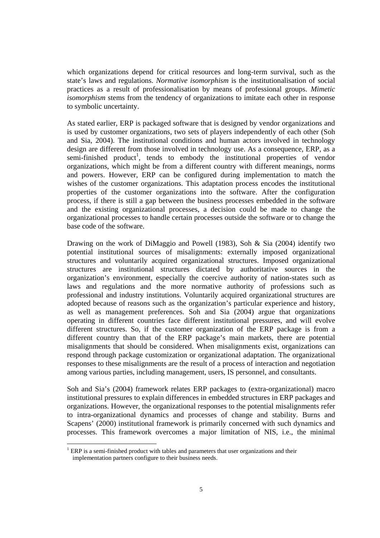which organizations depend for critical resources and long-term survival, such as the state's laws and regulations. *Normative isomorphism* is the institutionalisation of social practices as a result of professionalisation by means of professional groups. *Mimetic isomorphism* stems from the tendency of organizations to imitate each other in response to symbolic uncertainty.

As stated earlier, ERP is packaged software that is designed by vendor organizations and is used by customer organizations, two sets of players independently of each other (Soh and Sia, 2004). The institutional conditions and human actors involved in technology design are different from those involved in technology use. As a consequence, ERP, as a semi-finished product<sup>1</sup>, tends to embody the institutional properties of vendor organizations, which might be from a different country with different meanings, norms and powers. However, ERP can be configured during implementation to match the wishes of the customer organizations. This adaptation process encodes the institutional properties of the customer organizations into the software. After the configuration process, if there is still a gap between the business processes embedded in the software and the existing organizational processes, a decision could be made to change the organizational processes to handle certain processes outside the software or to change the base code of the software.

Drawing on the work of DiMaggio and Powell (1983), Soh & Sia (2004) identify two potential institutional sources of misalignments: externally imposed organizational structures and voluntarily acquired organizational structures. Imposed organizational structures are institutional structures dictated by authoritative sources in the organization's environment, especially the coercive authority of nation-states such as laws and regulations and the more normative authority of professions such as professional and industry institutions. Voluntarily acquired organizational structures are adopted because of reasons such as the organization's particular experience and history, as well as management preferences. Soh and Sia (2004) argue that organizations operating in different countries face different institutional pressures, and will evolve different structures. So, if the customer organization of the ERP package is from a different country than that of the ERP package's main markets, there are potential misalignments that should be considered. When misalignments exist, organizations can respond through package customization or organizational adaptation. The organizational responses to these misalignments are the result of a process of interaction and negotiation among various parties, including management, users, IS personnel, and consultants.

Soh and Sia's (2004) framework relates ERP packages to (extra-organizational) macro institutional pressures to explain differences in embedded structures in ERP packages and organizations. However, the organizational responses to the potential misalignments refer to intra-organizational dynamics and processes of change and stability. Burns and Scapens' (2000) institutional framework is primarily concerned with such dynamics and processes. This framework overcomes a major limitation of NIS, i.e., the minimal

 $1$  ERP is a semi-finished product with tables and parameters that user organizations and their implementation partners configure to their business needs.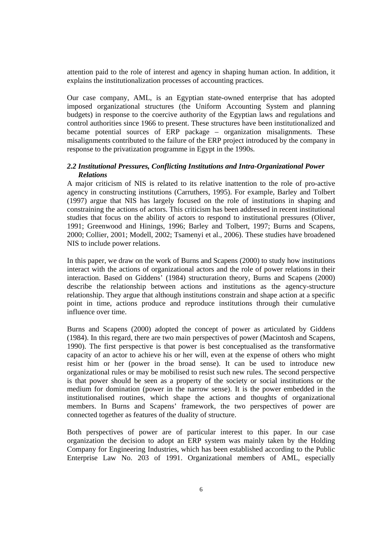attention paid to the role of interest and agency in shaping human action. In addition, it explains the institutionalization processes of accounting practices.

Our case company, AML, is an Egyptian state-owned enterprise that has adopted imposed organizational structures (the Uniform Accounting System and planning budgets) in response to the coercive authority of the Egyptian laws and regulations and control authorities since 1966 to present. These structures have been institutionalized and became potential sources of ERP package – organization misalignments. These misalignments contributed to the failure of the ERP project introduced by the company in response to the privatization programme in Egypt in the 1990s.

# *2.2 Institutional Pressures, Conflicting Institutions and Intra-Organizational Power Relations*

A major criticism of NIS is related to its relative inattention to the role of pro-active agency in constructing institutions (Carruthers, 1995). For example, Barley and Tolbert (1997) argue that NIS has largely focused on the role of institutions in shaping and constraining the actions of actors. This criticism has been addressed in recent institutional studies that focus on the ability of actors to respond to institutional pressures (Oliver, 1991; Greenwood and Hinings, 1996; Barley and Tolbert, 1997; Burns and Scapens, 2000; Collier, 2001; Modell, 2002; Tsamenyi et al., 2006). These studies have broadened NIS to include power relations.

In this paper, we draw on the work of Burns and Scapens (2000) to study how institutions interact with the actions of organizational actors and the role of power relations in their interaction. Based on Giddens' (1984) structuration theory, Burns and Scapens (2000) describe the relationship between actions and institutions as the agency-structure relationship. They argue that although institutions constrain and shape action at a specific point in time, actions produce and reproduce institutions through their cumulative influence over time.

Burns and Scapens (2000) adopted the concept of power as articulated by Giddens (1984). In this regard, there are two main perspectives of power (Macintosh and Scapens, 1990). The first perspective is that power is best conceptualised as the transformative capacity of an actor to achieve his or her will, even at the expense of others who might resist him or her (power in the broad sense). It can be used to introduce new organizational rules or may be mobilised to resist such new rules. The second perspective is that power should be seen as a property of the society or social institutions or the medium for domination (power in the narrow sense). It is the power embedded in the institutionalised routines, which shape the actions and thoughts of organizational members. In Burns and Scapens' framework, the two perspectives of power are connected together as features of the duality of structure.

Both perspectives of power are of particular interest to this paper. In our case organization the decision to adopt an ERP system was mainly taken by the Holding Company for Engineering Industries, which has been established according to the Public Enterprise Law No. 203 of 1991. Organizational members of AML, especially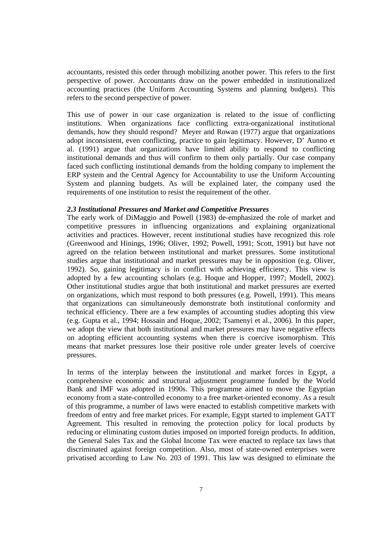accountants, resisted this order through mobilizing another power. This refers to the first perspective of power. Accountants draw on the power embedded in institutionalized accounting practices (the Uniform Accounting Systems and planning budgets). This refers to the second perspective of power.

This use of power in our case organization is related to the issue of conflicting institutions. When organizations face conflicting extra-organizational institutional demands, how they should respond? Meyer and Rowan (1977) argue that organizations adopt inconsistent, even conflicting, practice to gain legitimacy. However, D' Aunno et al. (1991) argue that organizations have limited ability to respond to conflicting institutional demands and thus will confirm to them only partially. Our case company faced such conflicting institutional demands from the holding company to implement the ERP system and the Central Agency for Accountability to use the Uniform Accounting System and planning budgets. As will be explained later, the company used the requirements of one institution to resist the requirement of the other.

#### *2.3 Institutional Pressures and Market and Competitive Pressures*

The early work of DiMaggio and Powell (1983) de-emphasized the role of market and competitive pressures in influencing organizations and explaining organizational activities and practices. However, recent institutional studies have recognized this role (Greenwood and Hinings, 1996; Oliver, 1992; Powell, 1991; Scott, 1991) but have not agreed on the relation between institutional and market pressures. Some institutional studies argue that institutional and market pressures may be in opposition (e.g. Oliver, 1992). So, gaining legitimacy is in conflict with achieving efficiency. This view is adopted by a few accounting scholars (e.g. Hoque and Hopper, 1997; Modell, 2002). Other institutional studies argue that both institutional and market pressures are exerted on organizations, which must respond to both pressures (e.g. Powell, 1991). This means that organizations can simultaneously demonstrate both institutional conformity and technical efficiency. There are a few examples of accounting studies adopting this view (e.g. Gupta et al., 1994; Hossain and Hoque, 2002; Tsamenyi et al., 2006). In this paper, we adopt the view that both institutional and market pressures may have negative effects on adopting efficient accounting systems when there is coercive isomorphism. This means that market pressures lose their positive role under greater levels of coercive pressures.

In terms of the interplay between the institutional and market forces in Egypt, a comprehensive economic and structural adjustment programme funded by the World Bank and IMF was adopted in 1990s. This programme aimed to move the Egyptian economy from a state-controlled economy to a free market-oriented economy. As a result of this programme, a number of laws were enacted to establish competitive markets with freedom of entry and free market prices. For example, Egypt started to implement GATT Agreement. This resulted in removing the protection policy for local products by reducing or eliminating custom duties imposed on imported foreign products. In addition, the General Sales Tax and the Global Income Tax were enacted to replace tax laws that discriminated against foreign competition. Also, most of state-owned enterprises were privatised according to Law No. 203 of 1991. This law was designed to eliminate the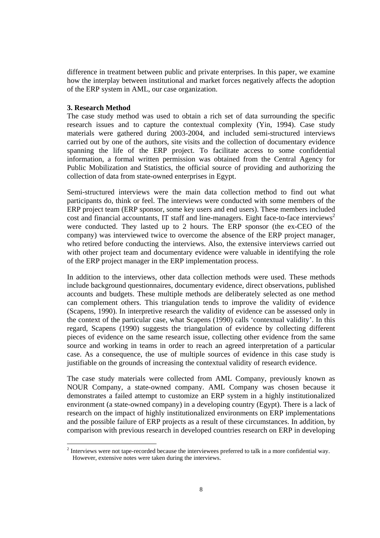difference in treatment between public and private enterprises. In this paper, we examine how the interplay between institutional and market forces negatively affects the adoption of the ERP system in AML, our case organization.

#### **3. Research Method**

-

The case study method was used to obtain a rich set of data surrounding the specific research issues and to capture the contextual complexity (Yin, 1994). Case study materials were gathered during 2003-2004, and included semi-structured interviews carried out by one of the authors, site visits and the collection of documentary evidence spanning the life of the ERP project. To facilitate access to some confidential information, a formal written permission was obtained from the Central Agency for Public Mobilization and Statistics, the official source of providing and authorizing the collection of data from state-owned enterprises in Egypt.

Semi-structured interviews were the main data collection method to find out what participants do, think or feel. The interviews were conducted with some members of the ERP project team (ERP sponsor, some key users and end users). These members included cost and financial accountants, IT staff and line-managers. Eight face-to-face interviews<sup>2</sup> were conducted. They lasted up to 2 hours. The ERP sponsor (the ex-CEO of the company) was interviewed twice to overcome the absence of the ERP project manager, who retired before conducting the interviews. Also, the extensive interviews carried out with other project team and documentary evidence were valuable in identifying the role of the ERP project manager in the ERP implementation process.

In addition to the interviews, other data collection methods were used. These methods include background questionnaires, documentary evidence, direct observations, published accounts and budgets. These multiple methods are deliberately selected as one method can complement others. This triangulation tends to improve the validity of evidence (Scapens, 1990). In interpretive research the validity of evidence can be assessed only in the context of the particular case, what Scapens (1990) calls 'contextual validity'. In this regard, Scapens (1990) suggests the triangulation of evidence by collecting different pieces of evidence on the same research issue, collecting other evidence from the same source and working in teams in order to reach an agreed interpretation of a particular case. As a consequence, the use of multiple sources of evidence in this case study is justifiable on the grounds of increasing the contextual validity of research evidence.

The case study materials were collected from AML Company, previously known as NOUR Company, a state-owned company. AML Company was chosen because it demonstrates a failed attempt to customize an ERP system in a highly institutionalized environment (a state-owned company) in a developing country (Egypt). There is a lack of research on the impact of highly institutionalized environments on ERP implementations and the possible failure of ERP projects as a result of these circumstances. In addition, by comparison with previous research in developed countries research on ERP in developing

 $2$  Interviews were not tape-recorded because the interviewees preferred to talk in a more confidential way. However, extensive notes were taken during the interviews.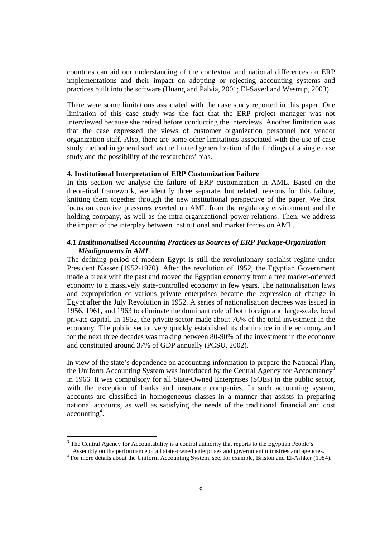countries can aid our understanding of the contextual and national differences on ERP implementations and their impact on adopting or rejecting accounting systems and practices built into the software (Huang and Palvia, 2001; El-Sayed and Westrup, 2003).

There were some limitations associated with the case study reported in this paper. One limitation of this case study was the fact that the ERP project manager was not interviewed because she retired before conducting the interviews. Another limitation was that the case expressed the views of customer organization personnel not vendor organization staff. Also, there are some other limitations associated with the use of case study method in general such as the limited generalization of the findings of a single case study and the possibility of the researchers' bias.

#### **4. Institutional Interpretation of ERP Customization Failure**

In this section we analyse the failure of ERP customization in AML. Based on the theoretical framework, we identify three separate, but related, reasons for this failure, knitting them together through the new institutional perspective of the paper. We first focus on coercive pressures exerted on AML from the regulatory environment and the holding company, as well as the intra-organizational power relations. Then, we address the impact of the interplay between institutional and market forces on AML.

### *4.1 Institutionalised Accounting Practices as Sources of ERP Package-Organization Misalignments in AML*

The defining period of modern Egypt is still the revolutionary socialist regime under President Nasser (1952-1970). After the revolution of 1952, the Egyptian Government made a break with the past and moved the Egyptian economy from a free market-oriented economy to a massively state-controlled economy in few years. The nationalisation laws and expropriation of various private enterprises became the expression of change in Egypt after the July Revolution in 1952. A series of nationalisation decrees was issued in 1956, 1961, and 1963 to eliminate the dominant role of both foreign and large-scale, local private capital. In 1952, the private sector made about 76% of the total investment in the economy. The public sector very quickly established its dominance in the economy and for the next three decades was making between 80-90% of the investment in the economy and constituted around 37% of GDP annually (PCSU, 2002).

In view of the state's dependence on accounting information to prepare the National Plan, the Uniform Accounting System was introduced by the Central Agency for Accountancy<sup>3</sup> in 1966. It was compulsory for all State-Owned Enterprises (SOEs) in the public sector, with the exception of banks and insurance companies. In such accounting system, accounts are classified in homogeneous classes in a manner that assists in preparing national accounts, as well as satisfying the needs of the traditional financial and cost  $accounting<sup>4</sup>$ .

 $3$  The Central Agency for Accountability is a control authority that reports to the Egyptian People's

Assembly on the performance of all state-owned enterprises and government ministries and agencies.

<sup>&</sup>lt;sup>4</sup> For more details about the Uniform Accounting System, see, for example, Briston and El-Ashker (1984).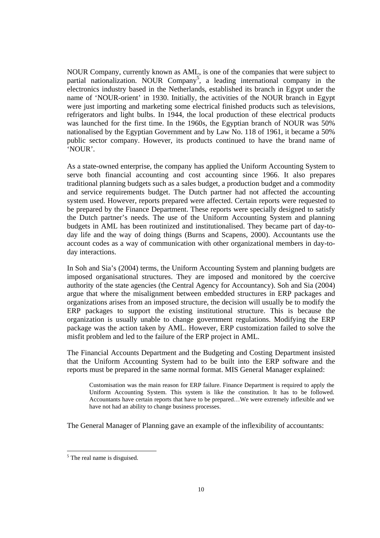NOUR Company, currently known as AML, is one of the companies that were subject to partial nationalization. NOUR Company<sup>5</sup>, a leading international company in the electronics industry based in the Netherlands, established its branch in Egypt under the name of 'NOUR-orient' in 1930. Initially, the activities of the NOUR branch in Egypt were just importing and marketing some electrical finished products such as televisions, refrigerators and light bulbs. In 1944, the local production of these electrical products was launched for the first time. In the 1960s, the Egyptian branch of NOUR was 50% nationalised by the Egyptian Government and by Law No. 118 of 1961, it became a 50% public sector company. However, its products continued to have the brand name of 'NOUR'.

As a state-owned enterprise, the company has applied the Uniform Accounting System to serve both financial accounting and cost accounting since 1966. It also prepares traditional planning budgets such as a sales budget, a production budget and a commodity and service requirements budget. The Dutch partner had not affected the accounting system used. However, reports prepared were affected. Certain reports were requested to be prepared by the Finance Department. These reports were specially designed to satisfy the Dutch partner's needs. The use of the Uniform Accounting System and planning budgets in AML has been routinized and institutionalised. They became part of day-today life and the way of doing things (Burns and Scapens, 2000). Accountants use the account codes as a way of communication with other organizational members in day-today interactions.

In Soh and Sia's (2004) terms, the Uniform Accounting System and planning budgets are imposed organisational structures. They are imposed and monitored by the coercive authority of the state agencies (the Central Agency for Accountancy). Soh and Sia (2004) argue that where the misalignment between embedded structures in ERP packages and organizations arises from an imposed structure, the decision will usually be to modify the ERP packages to support the existing institutional structure. This is because the organization is usually unable to change government regulations. Modifying the ERP package was the action taken by AML. However, ERP customization failed to solve the misfit problem and led to the failure of the ERP project in AML.

The Financial Accounts Department and the Budgeting and Costing Department insisted that the Uniform Accounting System had to be built into the ERP software and the reports must be prepared in the same normal format. MIS General Manager explained:

Customisation was the main reason for ERP failure. Finance Department is required to apply the Uniform Accounting System. This system is like the constitution. It has to be followed. Accountants have certain reports that have to be prepared…We were extremely inflexible and we have not had an ability to change business processes.

The General Manager of Planning gave an example of the inflexibility of accountants:

<sup>&</sup>lt;sup>5</sup> The real name is disguised.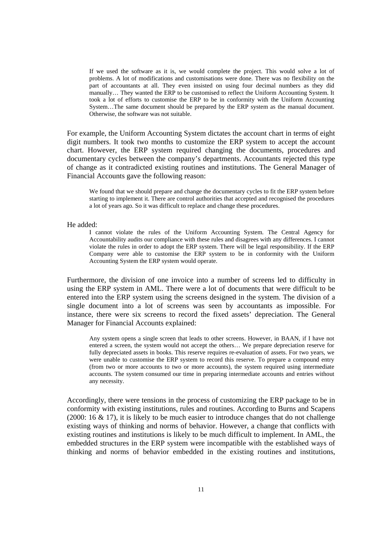If we used the software as it is, we would complete the project. This would solve a lot of problems. A lot of modifications and customisations were done. There was no flexibility on the part of accountants at all. They even insisted on using four decimal numbers as they did manually… They wanted the ERP to be customised to reflect the Uniform Accounting System. It took a lot of efforts to customise the ERP to be in conformity with the Uniform Accounting System…The same document should be prepared by the ERP system as the manual document. Otherwise, the software was not suitable.

For example, the Uniform Accounting System dictates the account chart in terms of eight digit numbers. It took two months to customize the ERP system to accept the account chart. However, the ERP system required changing the documents, procedures and documentary cycles between the company's departments. Accountants rejected this type of change as it contradicted existing routines and institutions. The General Manager of Financial Accounts gave the following reason:

We found that we should prepare and change the documentary cycles to fit the ERP system before starting to implement it. There are control authorities that accepted and recognised the procedures a lot of years ago. So it was difficult to replace and change these procedures.

He added:

I cannot violate the rules of the Uniform Accounting System. The Central Agency for Accountability audits our compliance with these rules and disagrees with any differences. I cannot violate the rules in order to adopt the ERP system. There will be legal responsibility. If the ERP Company were able to customise the ERP system to be in conformity with the Uniform Accounting System the ERP system would operate.

Furthermore, the division of one invoice into a number of screens led to difficulty in using the ERP system in AML. There were a lot of documents that were difficult to be entered into the ERP system using the screens designed in the system. The division of a single document into a lot of screens was seen by accountants as impossible. For instance, there were six screens to record the fixed assets' depreciation. The General Manager for Financial Accounts explained:

Any system opens a single screen that leads to other screens. However, in BAAN, if I have not entered a screen, the system would not accept the others… We prepare depreciation reserve for fully depreciated assets in books. This reserve requires re-evaluation of assets. For two years, we were unable to customise the ERP system to record this reserve. To prepare a compound entry (from two or more accounts to two or more accounts), the system required using intermediate accounts. The system consumed our time in preparing intermediate accounts and entries without any necessity.

Accordingly, there were tensions in the process of customizing the ERP package to be in conformity with existing institutions, rules and routines. According to Burns and Scapens  $(2000: 16 \& 17)$ , it is likely to be much easier to introduce changes that do not challenge existing ways of thinking and norms of behavior. However, a change that conflicts with existing routines and institutions is likely to be much difficult to implement. In AML, the embedded structures in the ERP system were incompatible with the established ways of thinking and norms of behavior embedded in the existing routines and institutions,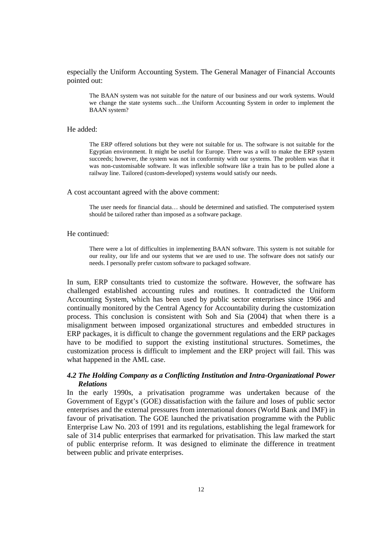### especially the Uniform Accounting System. The General Manager of Financial Accounts pointed out:

The BAAN system was not suitable for the nature of our business and our work systems. Would we change the state systems such…the Uniform Accounting System in order to implement the BAAN system?

#### He added:

The ERP offered solutions but they were not suitable for us. The software is not suitable for the Egyptian environment. It might be useful for Europe. There was a will to make the ERP system succeeds; however, the system was not in conformity with our systems. The problem was that it was non-customisable software. It was inflexible software like a train has to be pulled alone a railway line. Tailored (custom-developed) systems would satisfy our needs.

A cost accountant agreed with the above comment:

The user needs for financial data… should be determined and satisfied. The computerised system should be tailored rather than imposed as a software package.

He continued:

There were a lot of difficulties in implementing BAAN software. This system is not suitable for our reality, our life and our systems that we are used to use. The software does not satisfy our needs. I personally prefer custom software to packaged software.

In sum, ERP consultants tried to customize the software. However, the software has challenged established accounting rules and routines. It contradicted the Uniform Accounting System, which has been used by public sector enterprises since 1966 and continually monitored by the Central Agency for Accountability during the customization process. This conclusion is consistent with Soh and Sia (2004) that when there is a misalignment between imposed organizational structures and embedded structures in ERP packages, it is difficult to change the government regulations and the ERP packages have to be modified to support the existing institutional structures. Sometimes, the customization process is difficult to implement and the ERP project will fail. This was what happened in the AML case.

# *4.2 The Holding Company as a Conflicting Institution and Intra-Organizational Power Relations*

In the early 1990s, a privatisation programme was undertaken because of the Government of Egypt's (GOE) dissatisfaction with the failure and loses of public sector enterprises and the external pressures from international donors (World Bank and IMF) in favour of privatisation. The GOE launched the privatisation programme with the Public Enterprise Law No. 203 of 1991 and its regulations, establishing the legal framework for sale of 314 public enterprises that earmarked for privatisation. This law marked the start of public enterprise reform. It was designed to eliminate the difference in treatment between public and private enterprises.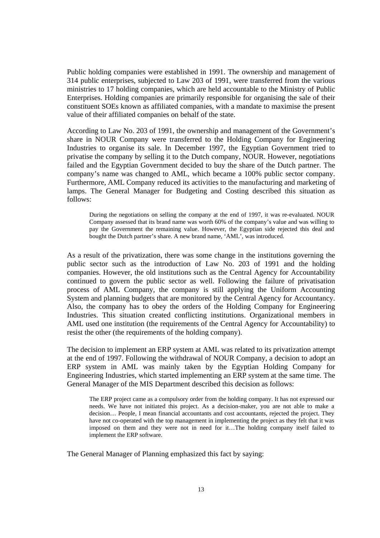Public holding companies were established in 1991. The ownership and management of 314 public enterprises, subjected to Law 203 of 1991, were transferred from the various ministries to 17 holding companies, which are held accountable to the Ministry of Public Enterprises. Holding companies are primarily responsible for organising the sale of their constituent SOEs known as affiliated companies, with a mandate to maximise the present value of their affiliated companies on behalf of the state.

According to Law No. 203 of 1991, the ownership and management of the Government's share in NOUR Company were transferred to the Holding Company for Engineering Industries to organise its sale. In December 1997, the Egyptian Government tried to privatise the company by selling it to the Dutch company, NOUR. However, negotiations failed and the Egyptian Government decided to buy the share of the Dutch partner. The company's name was changed to AML, which became a 100% public sector company. Furthermore, AML Company reduced its activities to the manufacturing and marketing of lamps. The General Manager for Budgeting and Costing described this situation as follows:

During the negotiations on selling the company at the end of 1997, it was re-evaluated. NOUR Company assessed that its brand name was worth 60% of the company's value and was willing to pay the Government the remaining value. However, the Egyptian side rejected this deal and bought the Dutch partner's share. A new brand name, 'AML', was introduced.

As a result of the privatization, there was some change in the institutions governing the public sector such as the introduction of Law No. 203 of 1991 and the holding companies. However, the old institutions such as the Central Agency for Accountability continued to govern the public sector as well. Following the failure of privatisation process of AML Company, the company is still applying the Uniform Accounting System and planning budgets that are monitored by the Central Agency for Accountancy. Also, the company has to obey the orders of the Holding Company for Engineering Industries. This situation created conflicting institutions. Organizational members in AML used one institution (the requirements of the Central Agency for Accountability) to resist the other (the requirements of the holding company).

The decision to implement an ERP system at AML was related to its privatization attempt at the end of 1997. Following the withdrawal of NOUR Company, a decision to adopt an ERP system in AML was mainly taken by the Egyptian Holding Company for Engineering Industries, which started implementing an ERP system at the same time. The General Manager of the MIS Department described this decision as follows:

The ERP project came as a compulsory order from the holding company. It has not expressed our needs. We have not initiated this project. As a decision-maker, you are not able to make a decision… People, I mean financial accountants and cost accountants, rejected the project. They have not co-operated with the top management in implementing the project as they felt that it was imposed on them and they were not in need for it…The holding company itself failed to implement the ERP software.

The General Manager of Planning emphasized this fact by saying: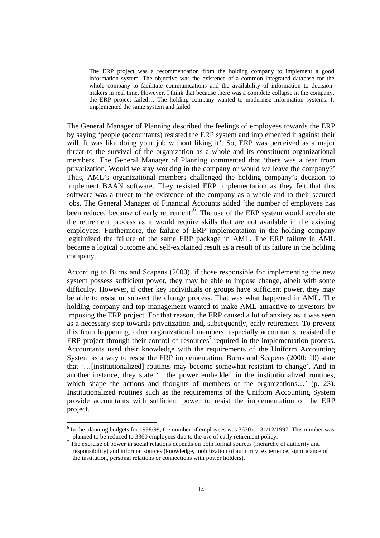The ERP project was a recommendation from the holding company to implement a good information system. The objective was the existence of a common integrated database for the whole company to facilitate communications and the availability of information to decisionmakers in real time. However, I think that because there was a complete collapse in the company, the ERP project failed… The holding company wanted to modernise information systems. It implemented the same system and failed.

The General Manager of Planning described the feelings of employees towards the ERP by saying 'people (accountants) resisted the ERP system and implemented it against their will. It was like doing your job without liking it'. So, ERP was perceived as a major threat to the survival of the organization as a whole and its constituent organizational members. The General Manager of Planning commented that 'there was a fear from privatization. Would we stay working in the company or would we leave the company?' Thus, AML's organizational members challenged the holding company's decision to implement BAAN software. They resisted ERP implementation as they felt that this software was a threat to the existence of the company as a whole and to their secured jobs. The General Manager of Financial Accounts added 'the number of employees has been reduced because of early retirement<sup>, 6</sup>. The use of the ERP system would accelerate the retirement process as it would require skills that are not available in the existing employees. Furthermore, the failure of ERP implementation in the holding company legitimized the failure of the same ERP package in AML. The ERP failure in AML became a logical outcome and self-explained result as a result of its failure in the holding company.

According to Burns and Scapens (2000), if those responsible for implementing the new system possess sufficient power, they may be able to impose change, albeit with some difficulty. However, if other key individuals or groups have sufficient power, they may be able to resist or subvert the change process. That was what happened in AML. The holding company and top management wanted to make AML attractive to investors by imposing the ERP project. For that reason, the ERP caused a lot of anxiety as it was seen as a necessary step towards privatization and, subsequently, early retirement. To prevent this from happening, other organizational members, especially accountants, resisted the ERP project through their control of resources<sup>7</sup> required in the implementation process. Accountants used their knowledge with the requirements of the Uniform Accounting System as a way to resist the ERP implementation. Burns and Scapens (2000: 10) state that '…[institutionalized] routines may become somewhat resistant to change'. And in another instance, they state '…the power embedded in the institutionalized routines, which shape the actions and thoughts of members of the organizations...' (p. 23). Institutionalized routines such as the requirements of the Uniform Accounting System provide accountants with sufficient power to resist the implementation of the ERP project.

1

 $6$  In the planning budgets for 1998/99, the number of employees was 3630 on 31/12/1997. This number was planned to be reduced to 3360 employees due to the use of early retirement policy.<br><sup>7</sup> The exercise of power in social relations depends on both formal sources (hierarchy of authority and

responsibility) and informal sources (knowledge, mobilization of authority, experience, significance of the institution, personal relations or connections with power holders).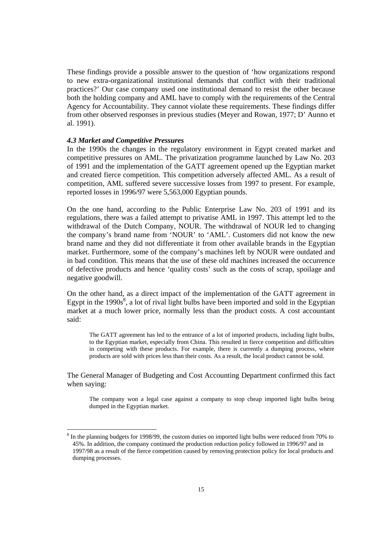These findings provide a possible answer to the question of 'how organizations respond to new extra-organizational institutional demands that conflict with their traditional practices?' Our case company used one institutional demand to resist the other because both the holding company and AML have to comply with the requirements of the Central Agency for Accountability. They cannot violate these requirements. These findings differ from other observed responses in previous studies (Meyer and Rowan, 1977; D' Aunno et al. 1991).

#### *4.3 Market and Competitive Pressures*

-

In the 1990s the changes in the regulatory environment in Egypt created market and competitive pressures on AML. The privatization programme launched by Law No. 203 of 1991 and the implementation of the GATT agreement opened up the Egyptian market and created fierce competition. This competition adversely affected AML. As a result of competition, AML suffered severe successive losses from 1997 to present. For example, reported losses in 1996/97 were 5,563,000 Egyptian pounds.

On the one hand, according to the Public Enterprise Law No. 203 of 1991 and its regulations, there was a failed attempt to privatise AML in 1997. This attempt led to the withdrawal of the Dutch Company, NOUR. The withdrawal of NOUR led to changing the company's brand name from 'NOUR' to 'AML'. Customers did not know the new brand name and they did not differentiate it from other available brands in the Egyptian market. Furthermore, some of the company's machines left by NOUR were outdated and in bad condition. This means that the use of these old machines increased the occurrence of defective products and hence 'quality costs' such as the costs of scrap, spoilage and negative goodwill.

On the other hand, as a direct impact of the implementation of the GATT agreement in Egypt in the  $1990s<sup>8</sup>$ , a lot of rival light bulbs have been imported and sold in the Egyptian market at a much lower price, normally less than the product costs. A cost accountant said:

The GATT agreement has led to the entrance of a lot of imported products, including light bulbs, to the Egyptian market, especially from China. This resulted in fierce competition and difficulties in competing with these products. For example, there is currently a dumping process, where products are sold with prices less than their costs. As a result, the local product cannot be sold.

The General Manager of Budgeting and Cost Accounting Department confirmed this fact when saying:

The company won a legal case against a company to stop cheap imported light bulbs being dumped in the Egyptian market.

 $8$  In the planning budgets for 1998/99, the custom duties on imported light bulbs were reduced from 70% to 45%. In addition, the company continued the production reduction policy followed in 1996/97 and in 1997/98 as a result of the fierce competition caused by removing protection policy for local products and dumping processes.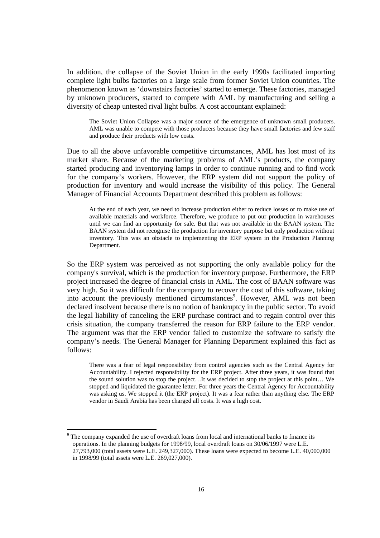In addition, the collapse of the Soviet Union in the early 1990s facilitated importing complete light bulbs factories on a large scale from former Soviet Union countries. The phenomenon known as 'downstairs factories' started to emerge. These factories, managed by unknown producers, started to compete with AML by manufacturing and selling a diversity of cheap untested rival light bulbs. A cost accountant explained:

The Soviet Union Collapse was a major source of the emergence of unknown small producers. AML was unable to compete with those producers because they have small factories and few staff and produce their products with low costs.

Due to all the above unfavorable competitive circumstances, AML has lost most of its market share. Because of the marketing problems of AML's products, the company started producing and inventorying lamps in order to continue running and to find work for the company's workers. However, the ERP system did not support the policy of production for inventory and would increase the visibility of this policy. The General Manager of Financial Accounts Department described this problem as follows:

At the end of each year, we need to increase production either to reduce losses or to make use of available materials and workforce. Therefore, we produce to put our production in warehouses until we can find an opportunity for sale. But that was not available in the BAAN system. The BAAN system did not recognise the production for inventory purpose but only production without inventory. This was an obstacle to implementing the ERP system in the Production Planning Department.

So the ERP system was perceived as not supporting the only available policy for the company's survival, which is the production for inventory purpose. Furthermore, the ERP project increased the degree of financial crisis in AML. The cost of BAAN software was very high. So it was difficult for the company to recover the cost of this software, taking into account the previously mentioned circumstances<sup>9</sup>. However, AML was not been declared insolvent because there is no notion of bankruptcy in the public sector. To avoid the legal liability of canceling the ERP purchase contract and to regain control over this crisis situation, the company transferred the reason for ERP failure to the ERP vendor. The argument was that the ERP vendor failed to customize the software to satisfy the company's needs. The General Manager for Planning Department explained this fact as follows:

There was a fear of legal responsibility from control agencies such as the Central Agency for Accountability. I rejected responsibility for the ERP project. After three years, it was found that the sound solution was to stop the project…It was decided to stop the project at this point… We stopped and liquidated the guarantee letter. For three years the Central Agency for Accountability was asking us. We stopped it (the ERP project). It was a fear rather than anything else. The ERP vendor in Saudi Arabia has been charged all costs. It was a high cost.

 $9<sup>9</sup>$  The company expanded the use of overdraft loans from local and international banks to finance its operations. In the planning budgets for 1998/99, local overdraft loans on 30/06/1997 were L.E. 27,793,000 (total assets were L.E. 249,327,000). These loans were expected to become L.E. 40,000,000 in 1998/99 (total assets were L.E. 269,027,000).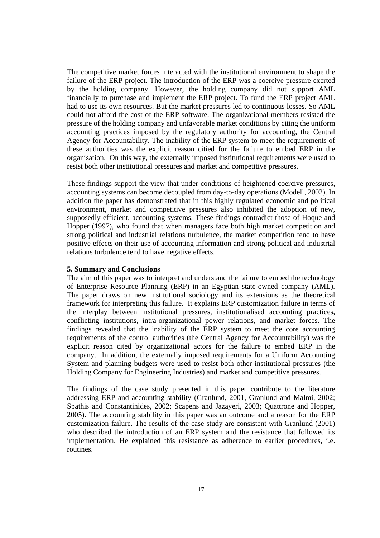The competitive market forces interacted with the institutional environment to shape the failure of the ERP project. The introduction of the ERP was a coercive pressure exerted by the holding company. However, the holding company did not support AML financially to purchase and implement the ERP project. To fund the ERP project AML had to use its own resources. But the market pressures led to continuous losses. So AML could not afford the cost of the ERP software. The organizational members resisted the pressure of the holding company and unfavorable market conditions by citing the uniform accounting practices imposed by the regulatory authority for accounting, the Central Agency for Accountability. The inability of the ERP system to meet the requirements of these authorities was the explicit reason citied for the failure to embed ERP in the organisation. On this way, the externally imposed institutional requirements were used to resist both other institutional pressures and market and competitive pressures.

These findings support the view that under conditions of heightened coercive pressures, accounting systems can become decoupled from day-to-day operations (Modell, 2002). In addition the paper has demonstrated that in this highly regulated economic and political environment, market and competitive pressures also inhibited the adoption of new, supposedly efficient, accounting systems. These findings contradict those of Hoque and Hopper (1997), who found that when managers face both high market competition and strong political and industrial relations turbulence, the market competition tend to have positive effects on their use of accounting information and strong political and industrial relations turbulence tend to have negative effects.

### **5. Summary and Conclusions**

The aim of this paper was to interpret and understand the failure to embed the technology of Enterprise Resource Planning (ERP) in an Egyptian state-owned company (AML). The paper draws on new institutional sociology and its extensions as the theoretical framework for interpreting this failure. It explains ERP customization failure in terms of the interplay between institutional pressures, institutionalised accounting practices, conflicting institutions, intra-organizational power relations, and market forces. The findings revealed that the inability of the ERP system to meet the core accounting requirements of the control authorities (the Central Agency for Accountability) was the explicit reason cited by organizational actors for the failure to embed ERP in the company. In addition, the externally imposed requirements for a Uniform Accounting System and planning budgets were used to resist both other institutional pressures (the Holding Company for Engineering Industries) and market and competitive pressures.

The findings of the case study presented in this paper contribute to the literature addressing ERP and accounting stability (Granlund, 2001, Granlund and Malmi, 2002; Spathis and Constantinides, 2002; Scapens and Jazayeri, 2003; Quattrone and Hopper, 2005). The accounting stability in this paper was an outcome and a reason for the ERP customization failure. The results of the case study are consistent with Granlund (2001) who described the introduction of an ERP system and the resistance that followed its implementation. He explained this resistance as adherence to earlier procedures, i.e. routines.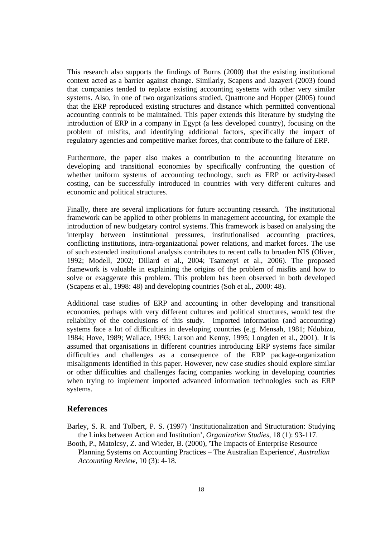This research also supports the findings of Burns (2000) that the existing institutional context acted as a barrier against change. Similarly, Scapens and Jazayeri (2003) found that companies tended to replace existing accounting systems with other very similar systems. Also, in one of two organizations studied, Quattrone and Hopper (2005) found that the ERP reproduced existing structures and distance which permitted conventional accounting controls to be maintained. This paper extends this literature by studying the introduction of ERP in a company in Egypt (a less developed country), focusing on the problem of misfits, and identifying additional factors, specifically the impact of regulatory agencies and competitive market forces, that contribute to the failure of ERP.

Furthermore, the paper also makes a contribution to the accounting literature on developing and transitional economies by specifically confronting the question of whether uniform systems of accounting technology, such as ERP or activity-based costing, can be successfully introduced in countries with very different cultures and economic and political structures.

Finally, there are several implications for future accounting research. The institutional framework can be applied to other problems in management accounting, for example the introduction of new budgetary control systems. This framework is based on analysing the interplay between institutional pressures, institutionalised accounting practices, conflicting institutions, intra-organizational power relations, and market forces. The use of such extended institutional analysis contributes to recent calls to broaden NIS (Oliver, 1992; Modell, 2002; Dillard et al., 2004; Tsamenyi et al., 2006). The proposed framework is valuable in explaining the origins of the problem of misfits and how to solve or exaggerate this problem. This problem has been observed in both developed (Scapens et al., 1998: 48) and developing countries (Soh et al., 2000: 48).

Additional case studies of ERP and accounting in other developing and transitional economies, perhaps with very different cultures and political structures, would test the reliability of the conclusions of this study. Imported information (and accounting) systems face a lot of difficulties in developing countries (e.g. Mensah, 1981; Ndubizu, 1984; Hove, 1989; Wallace, 1993; Larson and Kenny, 1995; Longden et al., 2001). It is assumed that organisations in different countries introducing ERP systems face similar difficulties and challenges as a consequence of the ERP package-organization misalignments identified in this paper. However, new case studies should explore similar or other difficulties and challenges facing companies working in developing countries when trying to implement imported advanced information technologies such as ERP systems.

# **References**

- Barley, S. R. and Tolbert, P. S. (1997) 'Institutionalization and Structuration: Studying the Links between Action and Institution', *Organization Studies*, 18 (1): 93-117.
- Booth, P., Matolcsy, Z. and Wieder, B. (2000), 'The Impacts of Enterprise Resource Planning Systems on Accounting Practices – The Australian Experience', *Australian Accounting Review*, 10 (3): 4-18.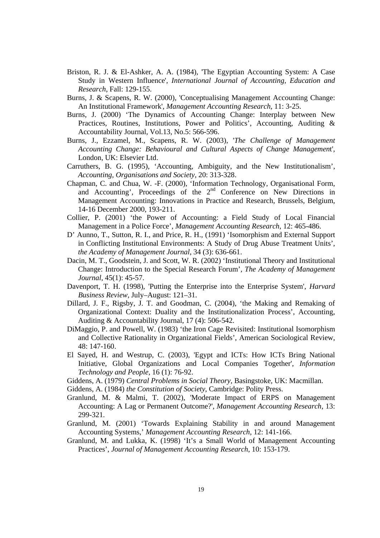- Briston, R. J. & El-Ashker, A. A. (1984), 'The Egyptian Accounting System: A Case Study in Western Influence', *International Journal of Accounting, Education and Research*, Fall: 129-155.
- Burns, J. & Scapens, R. W. (2000), 'Conceptualising Management Accounting Change: An Institutional Framework', *Management Accounting Research*, 11: 3-25.
- Burns, J. (2000) 'The Dynamics of Accounting Change: Interplay between New Practices, Routines, Institutions, Power and Politics', Accounting, Auditing & Accountability Journal, Vol.13, No.5: 566-596.
- Burns, J., Ezzamel, M., Scapens, R. W. (2003), '*The Challenge of Management Accounting Change: Behavioural and Cultural Aspects of Change Managemen*t', London, UK: Elsevier Ltd.
- Carruthers, B. G. (1995), 'Accounting, Ambiguity, and the New Institutionalism', *Accounting, Organisations and Society*, 20: 313-328.
- Chapman, C. and Chua, W. -F. (2000), 'Information Technology, Organisational Form, and Accounting', Proceedings of the  $2<sup>nd</sup>$  Conference on New Directions in Management Accounting: Innovations in Practice and Research, Brussels, Belgium, 14-16 December 2000, 193-211.
- Collier, P. (2001) 'the Power of Accounting: a Field Study of Local Financial Management in a Police Force', *Management Accounting Research*, 12: 465-486.
- D' Aunno, T., Sutton, R. I., and Price, R. H., (1991) 'Isomorphism and External Support in Conflicting Institutional Environments: A Study of Drug Abuse Treatment Units', *the Academy of Management Journal*, 34 (3): 636-661.
- Dacin, M. T., Goodstein, J. and Scott, W. R. (2002) 'Institutional Theory and Institutional Change: Introduction to the Special Research Forum', *The Academy of Management Journal,* 45(1): 45-57.
- Davenport, T. H. (1998), 'Putting the Enterprise into the Enterprise System', *Harvard Business Review,* July–August: 121–31.
- Dillard, J. F., Rigsby, J. T. and Goodman, C. (2004), 'the Making and Remaking of Organizational Context: Duality and the Institutionalization Process', Accounting, Auditing & Accountability Journal, 17 (4): 506-542.
- DiMaggio, P. and Powell, W. (1983) 'the Iron Cage Revisited: Institutional Isomorphism and Collective Rationality in Organizational Fields', American Sociological Review, 48: 147-160.
- El Sayed, H. and Westrup, C. (2003), 'Egypt and ICTs: How ICTs Bring National Initiative, Global Organizations and Local Companies Together', *Information Technology and People*, 16 (1): 76-92.
- Giddens, A. (1979) *Central Problems in Social Theory,* Basingstoke, UK: Macmillan.

Giddens, A. (1984) *the Constitution of Society*, Cambridge: Polity Press.

- Granlund, M. & Malmi, T. (2002), 'Moderate Impact of ERPS on Management Accounting: A Lag or Permanent Outcome?', *Management Accounting Research*, 13: 299-321.
- Granlund, M. (2001) 'Towards Explaining Stability in and around Management Accounting Systems,' *Management Accounting Research*, 12: 141-166.
- Granlund, M. and Lukka, K. (1998) 'It's a Small World of Management Accounting Practices', *Journal of Management Accounting Research*, 10: 153-179.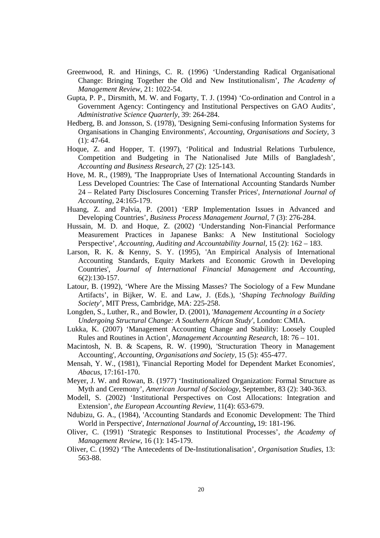- Greenwood, R. and Hinings, C. R. (1996) 'Understanding Radical Organisational Change: Bringing Together the Old and New Institutionalism', *The Academy of Management Review*, 21: 1022-54.
- Gupta, P. P., Dirsmith, M. W. and Fogarty, T. J. (1994) 'Co-ordination and Control in a Government Agency: Contingency and Institutional Perspectives on GAO Audits', *Administrative Science Quarterly,* 39: 264-284.
- Hedberg, B. and Jonsson, S. (1978), 'Designing Semi-confusing Information Systems for Organisations in Changing Environments', *Accounting, Organisations and Society*, 3 (1): 47-64.
- Hoque, Z. and Hopper, T. (1997), 'Political and Industrial Relations Turbulence, Competition and Budgeting in The Nationalised Jute Mills of Bangladesh', *Accounting and Business Research*, 27 (2): 125-143.
- Hove, M. R., (1989), 'The Inappropriate Uses of International Accounting Standards in Less Developed Countries: The Case of International Accounting Standards Number 24 – Related Party Disclosures Concerning Transfer Prices', *International Journal of Accounting,* 24:165-179.
- Huang, Z. and Palvia, P. (2001) 'ERP Implementation Issues in Advanced and Developing Countries', *Business Process Management Journal*, 7 (3): 276-284.
- Hussain, M. D. and Hoque, Z. (2002) 'Understanding Non-Financial Performance Measurement Practices in Japanese Banks: A New Institutional Sociology Perspective', *Accounting, Auditing and Accountability Journal,* 15 (2): 162 – 183.
- Larson, R. K. & Kenny, S. Y. (1995), 'An Empirical Analysis of International Accounting Standards, Equity Markets and Economic Growth in Developing Countries', *Journal of International Financial Management and Accounting,*  6(2):130-157.
- Latour, B. (1992), 'Where Are the Missing Masses? The Sociology of a Few Mundane Artifacts', in Bijker, W. E. and Law, J. (Eds.), '*Shaping Technology Building Society*', MIT Press, Cambridge, MA: 225-258.
- Longden, S., Luther, R., and Bowler, D. (2001), '*Management Accounting in a Society Undergoing Structural Change: A Southern African Study'*, London: CMIA.
- Lukka, K. (2007) 'Management Accounting Change and Stability: Loosely Coupled Rules and Routines in Action', *Management Accounting Research*, 18: 76 – 101.
- Macintosh, N. B. & Scapens, R. W. (1990), 'Structuration Theory in Management Accounting', *Accounting, Organisations and Society,* 15 (5): 455-477.
- Mensah, Y. W., (1981), 'Financial Reporting Model for Dependent Market Economies', *Abacus*, 17:161-170.
- Meyer, J. W. and Rowan, B. (1977) 'Institutionalized Organization: Formal Structure as Myth and Ceremony', *American Journal of Sociology*, September, 83 (2): 340-363.
- Modell, S. (2002) 'Institutional Perspectives on Cost Allocations: Integration and Extension', *the European Accounting Review*, 11(4): 653-679.
- Ndubizu, G. A., (1984), 'Accounting Standards and Economic Development: The Third World in Perspective', *International Journal of Accounting***,** 19: 181-196.
- Oliver, C. (1991) 'Strategic Responses to Institutional Processes', *the Academy of Management Review*, 16 (1): 145-179.
- Oliver, C. (1992) 'The Antecedents of De-Institutionalisation', *Organisation Studies,* 13: 563-88.